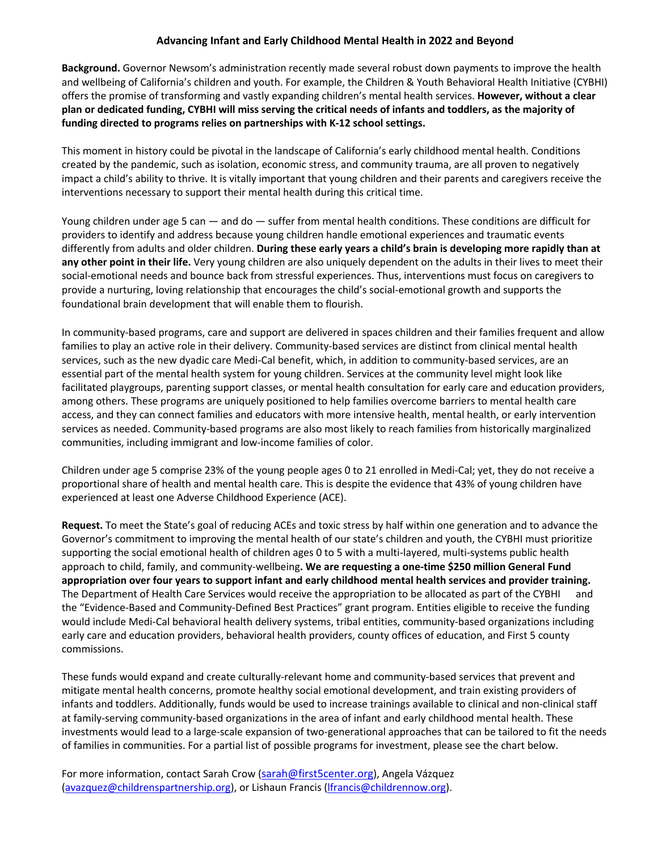## **Advancing Infant and Early Childhood Mental Health in 2022 and Beyond**

**Background.** Governor Newsom's administration recently made several robust down payments to improve the health and wellbeing of California's children and youth. For example, the Children & Youth Behavioral Health Initiative (CYBHI) offers the promise of transforming and vastly expanding children's mental health services. **However, without a clear plan or dedicated funding, CYBHI will miss serving the critical needs of infants and toddlers, as the majority of funding directed to programs relies on partnerships with K-12 school settings.**

This moment in history could be pivotal in the landscape of California's early childhood mental health. Conditions created by the pandemic, such as isolation, economic stress, and community trauma, are all proven to negatively impact a child's ability to thrive. It is vitally important that young children and their parents and caregivers receive the interventions necessary to support their mental health during this critical time.

Young children under age 5 can — and do — suffer from mental health conditions. These conditions are difficult for providers to identify and address because young children handle emotional experiences and traumatic events differently from adults and older children. **During these early years a child's brain is developing more rapidly than at any other point in their life.** Very young children are also uniquely dependent on the adults in their lives to meet their social-emotional needs and bounce back from stressful experiences. Thus, interventions must focus on caregivers to provide a nurturing, loving relationship that encourages the child's social-emotional growth and supports the foundational brain development that will enable them to flourish.

In community-based programs, care and support are delivered in spaces children and their families frequent and allow families to play an active role in their delivery. Community-based services are distinct from clinical mental health services, such as the new dyadic care Medi-Cal benefit, which, in addition to community-based services, are an essential part of the mental health system for young children. Services at the community level might look like facilitated playgroups, parenting support classes, or mental health consultation for early care and education providers, among others. These programs are uniquely positioned to help families overcome barriers to mental health care access, and they can connect families and educators with more intensive health, mental health, or early intervention services as needed. Community-based programs are also most likely to reach families from historically marginalized communities, including immigrant and low-income families of color.

Children under age 5 comprise 23% of the young people ages 0 to 21 enrolled in Medi-Cal; yet, they do not receive a proportional share of health and mental health care. This is despite the evidence that 43% of young children have experienced at least one Adverse Childhood Experience (ACE).

**Request.** To meet the State's goal of reducing ACEs and toxic stress by half within one generation and to advance the Governor's commitment to improving the mental health of our state's children and youth, the CYBHI must prioritize supporting the social emotional health of children ages 0 to 5 with a multi-layered, multi-systems public health approach to child, family, and community-wellbeing**. We are requesting a one-time \$250 million General Fund appropriation over four years to support infant and early childhood mental health services and provider training.** The Department of Health Care Services would receive the appropriation to be allocated as part of the CYBHI the "Evidence-Based and Community-Defined Best Practices" grant program. Entities eligible to receive the funding would include Medi-Cal behavioral health delivery systems, tribal entities, community-based organizations including early care and education providers, behavioral health providers, county offices of education, and First 5 county commissions.

These funds would expand and create culturally-relevant home and community-based services that prevent and mitigate mental health concerns, promote healthy social emotional development, and train existing providers of infants and toddlers. Additionally, funds would be used to increase trainings available to clinical and non-clinical staff at family-serving community-based organizations in the area of infant and early childhood mental health. These investments would lead to a large-scale expansion of two-generational approaches that can be tailored to fit the needs of families in communities. For a partial list of possible programs for investment, please see the chart below.

For more information, contact Sarah Crow (sarah@first5center.org), Angela Vázquez (avazquez@childrenspartnership.org), or Lishaun Francis (lfrancis@childrennow.org).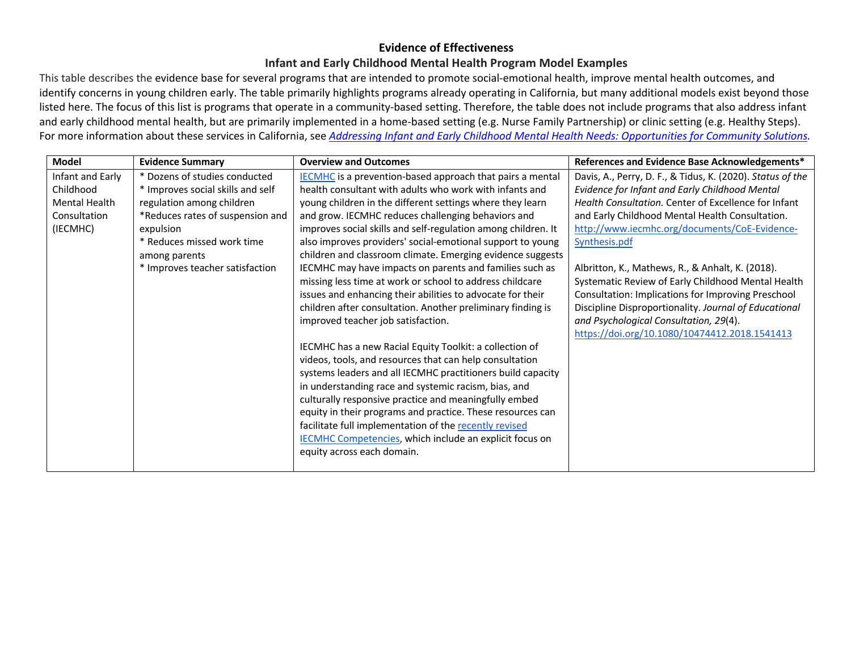## **Evidence of Effectiveness**

## **Infant and Early Childhood Mental Health Program Model Examples**

This table describes the evidence base for several programs that are intended to promote social-emotional health, improve mental health outcomes, and identify concerns in young children early. The table primarily highlights programs already operating in California, but many additional models exist beyond those listed here. The focus of this list is programs that operate in a community-based setting. Therefore, the table does not include programs that also address infant and early childhood mental health, but are primarily implemented in a home-based setting (e.g. Nurse Family Partnership) or clinic setting (e.g. Healthy Steps). For more information about these services in California, see *Addressing Infant and Early Childhood Mental Health Needs: Opportunities for Community Solutions.*

| <b>Model</b>     | <b>Evidence Summary</b>           | <b>Overview and Outcomes</b>                                   | References and Evidence Base Acknowledgements*             |
|------------------|-----------------------------------|----------------------------------------------------------------|------------------------------------------------------------|
| Infant and Early | * Dozens of studies conducted     | IECMHC is a prevention-based approach that pairs a mental      | Davis, A., Perry, D. F., & Tidus, K. (2020). Status of the |
| Childhood        | * Improves social skills and self | health consultant with adults who work with infants and        | Evidence for Infant and Early Childhood Mental             |
| Mental Health    | regulation among children         | young children in the different settings where they learn      | Health Consultation. Center of Excellence for Infant       |
| Consultation     | *Reduces rates of suspension and  | and grow. IECMHC reduces challenging behaviors and             | and Early Childhood Mental Health Consultation.            |
| (IECMHC)         | expulsion                         | improves social skills and self-regulation among children. It  | http://www.iecmhc.org/documents/CoE-Evidence-              |
|                  | * Reduces missed work time        | also improves providers' social-emotional support to young     | Synthesis.pdf                                              |
|                  | among parents                     | children and classroom climate. Emerging evidence suggests     |                                                            |
|                  | * Improves teacher satisfaction   | IECMHC may have impacts on parents and families such as        | Albritton, K., Mathews, R., & Anhalt, K. (2018).           |
|                  |                                   | missing less time at work or school to address childcare       | Systematic Review of Early Childhood Mental Health         |
|                  |                                   | issues and enhancing their abilities to advocate for their     | Consultation: Implications for Improving Preschool         |
|                  |                                   | children after consultation. Another preliminary finding is    | Discipline Disproportionality. Journal of Educational      |
|                  |                                   | improved teacher job satisfaction.                             | and Psychological Consultation, 29(4).                     |
|                  |                                   |                                                                | https://doi.org/10.1080/10474412.2018.1541413              |
|                  |                                   | IECMHC has a new Racial Equity Toolkit: a collection of        |                                                            |
|                  |                                   | videos, tools, and resources that can help consultation        |                                                            |
|                  |                                   | systems leaders and all IECMHC practitioners build capacity    |                                                            |
|                  |                                   | in understanding race and systemic racism, bias, and           |                                                            |
|                  |                                   | culturally responsive practice and meaningfully embed          |                                                            |
|                  |                                   | equity in their programs and practice. These resources can     |                                                            |
|                  |                                   | facilitate full implementation of the recently revised         |                                                            |
|                  |                                   | <b>IECMHC Competencies, which include an explicit focus on</b> |                                                            |
|                  |                                   | equity across each domain.                                     |                                                            |
|                  |                                   |                                                                |                                                            |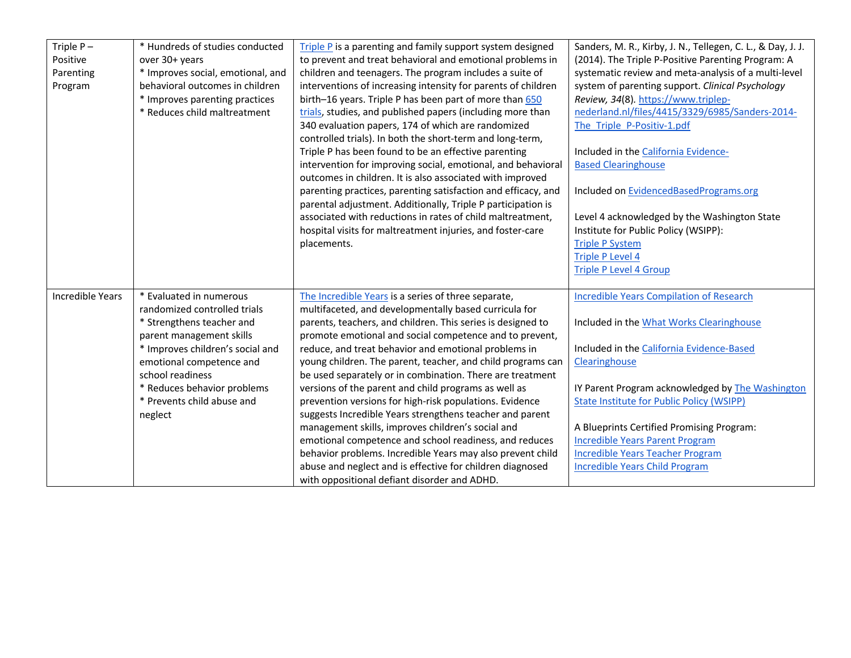| Triple $P -$            | * Hundreds of studies conducted   | Triple P is a parenting and family support system designed    | Sanders, M. R., Kirby, J. N., Tellegen, C. L., & Day, J. J. |
|-------------------------|-----------------------------------|---------------------------------------------------------------|-------------------------------------------------------------|
| Positive                | over 30+ years                    | to prevent and treat behavioral and emotional problems in     | (2014). The Triple P-Positive Parenting Program: A          |
| Parenting               | * Improves social, emotional, and | children and teenagers. The program includes a suite of       | systematic review and meta-analysis of a multi-level        |
| Program                 | behavioral outcomes in children   | interventions of increasing intensity for parents of children | system of parenting support. Clinical Psychology            |
|                         | * Improves parenting practices    | birth-16 years. Triple P has been part of more than 650       | Review, 34(8). https://www.triplep-                         |
|                         | * Reduces child maltreatment      | trials, studies, and published papers (including more than    | nederland.nl/files/4415/3329/6985/Sanders-2014-             |
|                         |                                   | 340 evaluation papers, 174 of which are randomized            | The Triple P-Positiv-1.pdf                                  |
|                         |                                   | controlled trials). In both the short-term and long-term,     |                                                             |
|                         |                                   | Triple P has been found to be an effective parenting          | Included in the California Evidence-                        |
|                         |                                   | intervention for improving social, emotional, and behavioral  | <b>Based Clearinghouse</b>                                  |
|                         |                                   | outcomes in children. It is also associated with improved     |                                                             |
|                         |                                   | parenting practices, parenting satisfaction and efficacy, and | Included on EvidencedBasedPrograms.org                      |
|                         |                                   | parental adjustment. Additionally, Triple P participation is  |                                                             |
|                         |                                   | associated with reductions in rates of child maltreatment,    | Level 4 acknowledged by the Washington State                |
|                         |                                   | hospital visits for maltreatment injuries, and foster-care    | Institute for Public Policy (WSIPP):                        |
|                         |                                   | placements.                                                   | <b>Triple P System</b>                                      |
|                         |                                   |                                                               | <b>Triple P Level 4</b>                                     |
|                         |                                   |                                                               | <b>Triple P Level 4 Group</b>                               |
|                         |                                   |                                                               |                                                             |
| <b>Incredible Years</b> | * Evaluated in numerous           | The Incredible Years is a series of three separate,           | <b>Incredible Years Compilation of Research</b>             |
|                         | randomized controlled trials      | multifaceted, and developmentally based curricula for         |                                                             |
|                         | * Strengthens teacher and         | parents, teachers, and children. This series is designed to   | Included in the What Works Clearinghouse                    |
|                         | parent management skills          | promote emotional and social competence and to prevent,       |                                                             |
|                         | * Improves children's social and  | reduce, and treat behavior and emotional problems in          | Included in the California Evidence-Based                   |
|                         | emotional competence and          | young children. The parent, teacher, and child programs can   | Clearinghouse                                               |
|                         | school readiness                  | be used separately or in combination. There are treatment     |                                                             |
|                         | * Reduces behavior problems       | versions of the parent and child programs as well as          | IY Parent Program acknowledged by The Washington            |
|                         | * Prevents child abuse and        | prevention versions for high-risk populations. Evidence       | <b>State Institute for Public Policy (WSIPP)</b>            |
|                         | neglect                           | suggests Incredible Years strengthens teacher and parent      |                                                             |
|                         |                                   | management skills, improves children's social and             | A Blueprints Certified Promising Program:                   |
|                         |                                   | emotional competence and school readiness, and reduces        | <b>Incredible Years Parent Program</b>                      |
|                         |                                   | behavior problems. Incredible Years may also prevent child    | <b>Incredible Years Teacher Program</b>                     |
|                         |                                   | abuse and neglect and is effective for children diagnosed     | <b>Incredible Years Child Program</b>                       |
|                         |                                   | with oppositional defiant disorder and ADHD.                  |                                                             |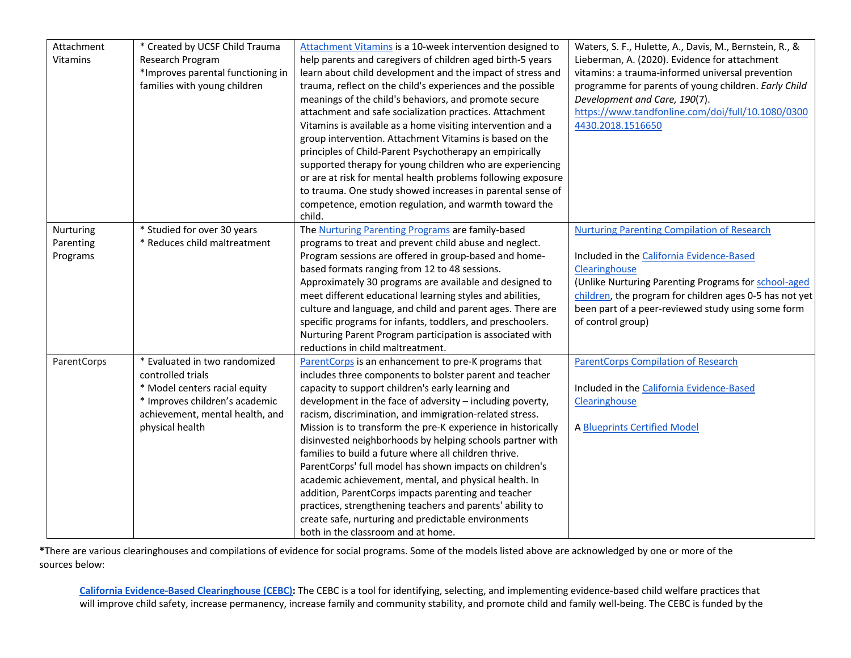| Attachment      | * Created by UCSF Child Trauma    | Attachment Vitamins is a 10-week intervention designed to    | Waters, S. F., Hulette, A., Davis, M., Bernstein, R., & |
|-----------------|-----------------------------------|--------------------------------------------------------------|---------------------------------------------------------|
| <b>Vitamins</b> | Research Program                  | help parents and caregivers of children aged birth-5 years   | Lieberman, A. (2020). Evidence for attachment           |
|                 | *Improves parental functioning in | learn about child development and the impact of stress and   | vitamins: a trauma-informed universal prevention        |
|                 | families with young children      | trauma, reflect on the child's experiences and the possible  | programme for parents of young children. Early Child    |
|                 |                                   | meanings of the child's behaviors, and promote secure        | Development and Care, 190(7).                           |
|                 |                                   | attachment and safe socialization practices. Attachment      | https://www.tandfonline.com/doi/full/10.1080/0300       |
|                 |                                   | Vitamins is available as a home visiting intervention and a  | 4430.2018.1516650                                       |
|                 |                                   | group intervention. Attachment Vitamins is based on the      |                                                         |
|                 |                                   | principles of Child-Parent Psychotherapy an empirically      |                                                         |
|                 |                                   | supported therapy for young children who are experiencing    |                                                         |
|                 |                                   | or are at risk for mental health problems following exposure |                                                         |
|                 |                                   | to trauma. One study showed increases in parental sense of   |                                                         |
|                 |                                   | competence, emotion regulation, and warmth toward the        |                                                         |
|                 |                                   | child.                                                       |                                                         |
| Nurturing       | * Studied for over 30 years       | The Nurturing Parenting Programs are family-based            | <b>Nurturing Parenting Compilation of Research</b>      |
| Parenting       | * Reduces child maltreatment      | programs to treat and prevent child abuse and neglect.       |                                                         |
| Programs        |                                   | Program sessions are offered in group-based and home-        | Included in the California Evidence-Based               |
|                 |                                   | based formats ranging from 12 to 48 sessions.                | Clearinghouse                                           |
|                 |                                   | Approximately 30 programs are available and designed to      | (Unlike Nurturing Parenting Programs for school-aged    |
|                 |                                   | meet different educational learning styles and abilities,    | children, the program for children ages 0-5 has not yet |
|                 |                                   | culture and language, and child and parent ages. There are   | been part of a peer-reviewed study using some form      |
|                 |                                   | specific programs for infants, toddlers, and preschoolers.   | of control group)                                       |
|                 |                                   | Nurturing Parent Program participation is associated with    |                                                         |
|                 |                                   | reductions in child maltreatment.                            |                                                         |
| ParentCorps     | * Evaluated in two randomized     | ParentCorps is an enhancement to pre-K programs that         | <b>ParentCorps Compilation of Research</b>              |
|                 | controlled trials                 | includes three components to bolster parent and teacher      |                                                         |
|                 | * Model centers racial equity     | capacity to support children's early learning and            | Included in the California Evidence-Based               |
|                 | * Improves children's academic    | development in the face of adversity - including poverty,    | Clearinghouse                                           |
|                 | achievement, mental health, and   | racism, discrimination, and immigration-related stress.      |                                                         |
|                 | physical health                   | Mission is to transform the pre-K experience in historically | <b>A Blueprints Certified Model</b>                     |
|                 |                                   | disinvested neighborhoods by helping schools partner with    |                                                         |
|                 |                                   | families to build a future where all children thrive.        |                                                         |
|                 |                                   | ParentCorps' full model has shown impacts on children's      |                                                         |
|                 |                                   | academic achievement, mental, and physical health. In        |                                                         |
|                 |                                   | addition, ParentCorps impacts parenting and teacher          |                                                         |
|                 |                                   | practices, strengthening teachers and parents' ability to    |                                                         |
|                 |                                   | create safe, nurturing and predictable environments          |                                                         |
|                 |                                   | both in the classroom and at home.                           |                                                         |

**\***There are various clearinghouses and compilations of evidence for social programs. Some of the models listed above are acknowledged by one or more of the sources below:

**California Evidence-Based Clearinghouse (CEBC):** The CEBC is a tool for identifying, selecting, and implementing evidence-based child welfare practices that will improve child safety, increase permanency, increase family and community stability, and promote child and family well-being. The CEBC is funded by the